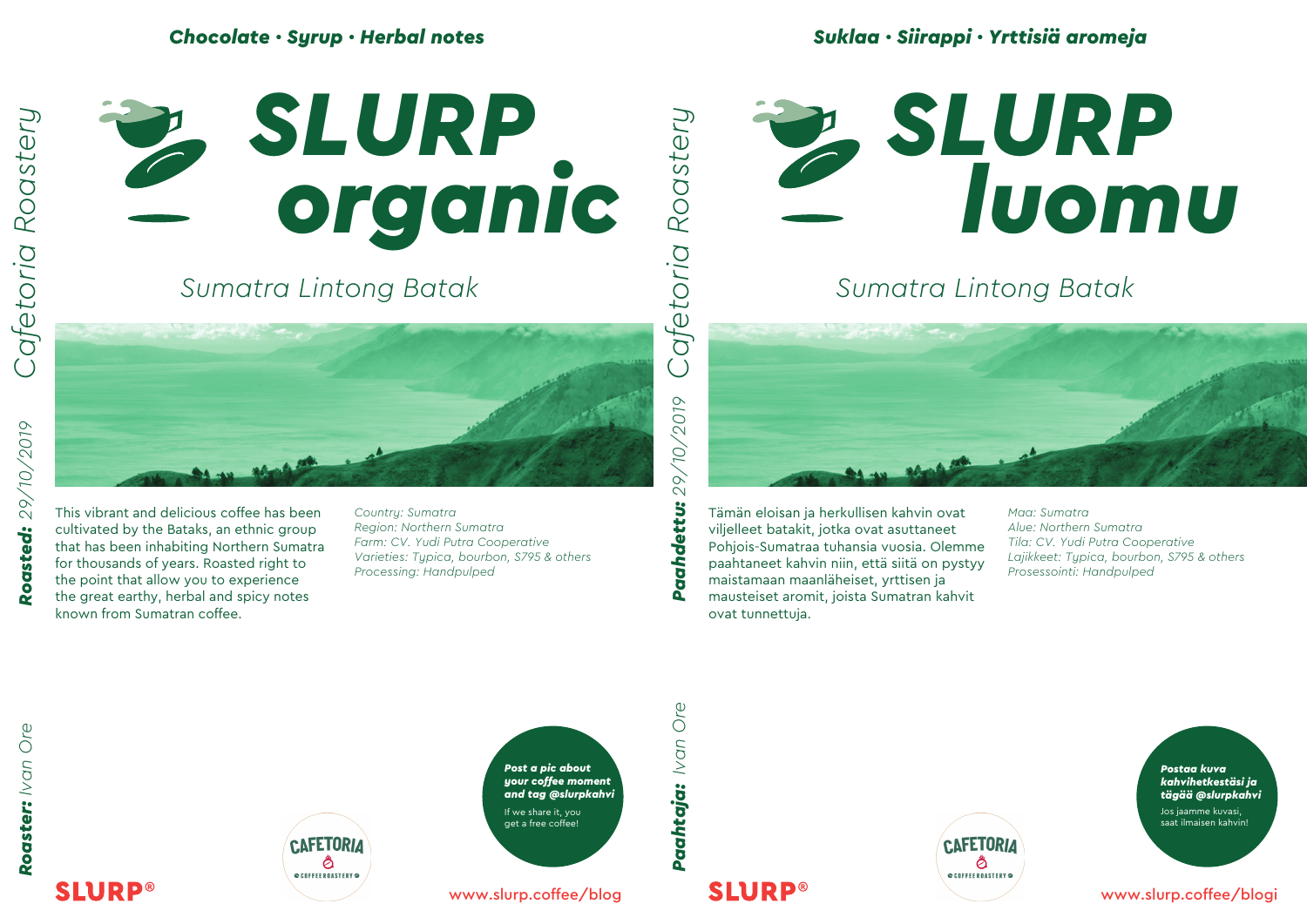### *Chocolate · Syrup · Herbal notes*





# *Sumatra Lintong Batak*



*Roaster: Ivan Ore Roasted: 29/10/2019* Roasted:

This vibrant and delicious coffee has been cultivated by the Bataks, an ethnic group that has been inhabiting Northern Sumatra for thousands of years. Roasted right to the point that allow you to experience the great earthy, herbal and spicy notes known from Sumatran coffee.

*Country: Sumatra Region: Northern Sumatra Farm: CV. Yudi Putra Cooperative Varieties: Typica, bourbon, S795 & others Processing: Handpulped*



## *Sumatra Lintong Batak*



Tämän eloisan ja herkullisen kahvin ovat viljelleet batakit, jotka ovat asuttaneet Pohjois-Sumatraa tuhansia vuosia. Olemme paahtaneet kahvin niin, että siitä on pystyy maistamaan maanläheiset, yrttisen ja mausteiset aromit, joista Sumatran kahvit ovat tunnettuja.

*Maa: Sumatra Alue: Northern Sumatra Tila: CV. Yudi Putra Cooperative Lajikkeet: Typica, bourbon, S795 & others Prosessointi: Handpulped*

**SLURP®** 





www.slurp.coffee/blog

*Paahtaja: Ivan Ore Paahdettu: 29/10/2019* Paahtaja: Ivan Ore

Paahdettu:

**SLURP®** 



*Postaa kuva kahvihetkestäsi ja tägää @slurpkahvi*

Jos jaamme kuvasi, saat ilmaisen kahvin!

www.slurp.coffee/blogi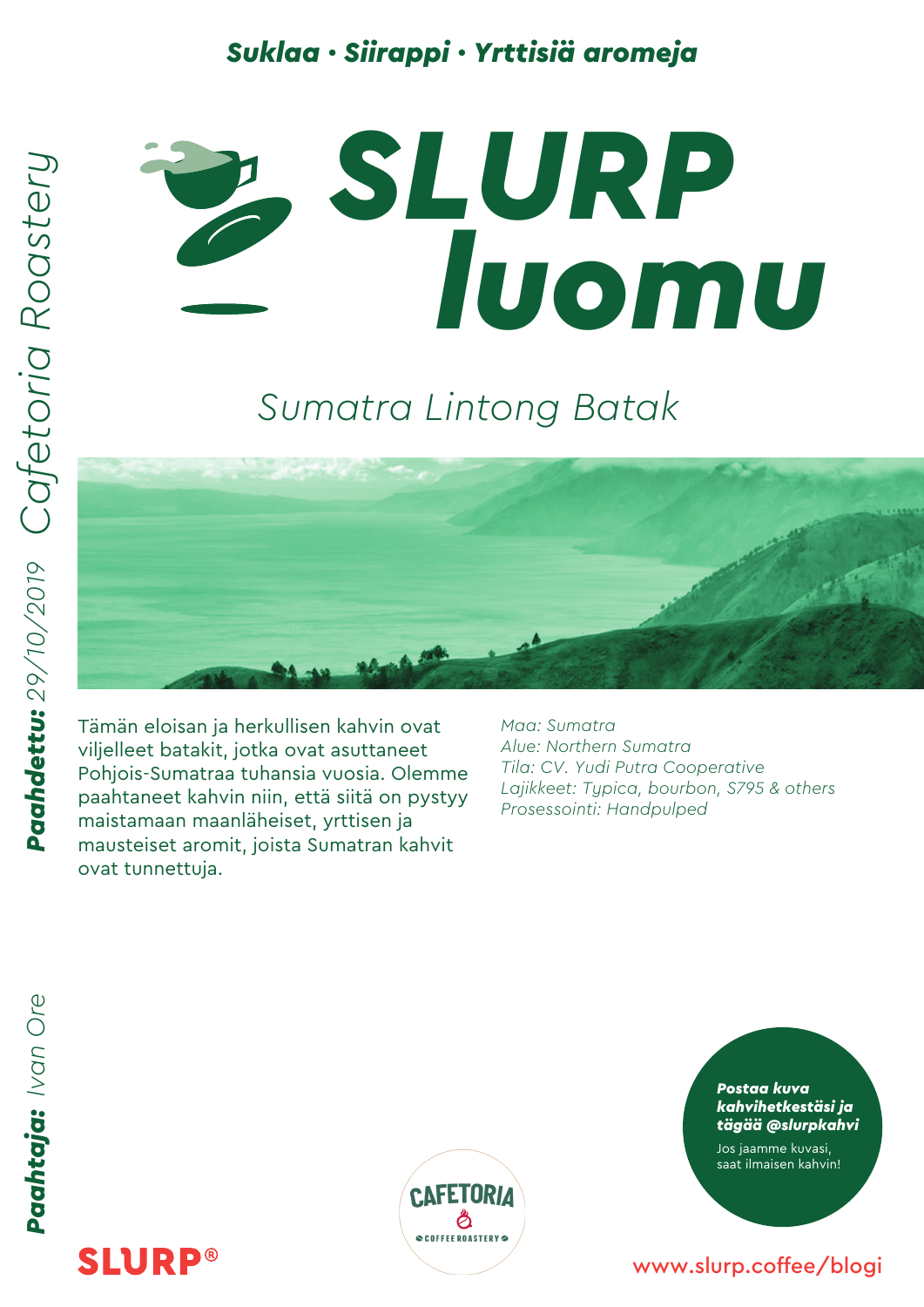### *Suklaa · Siirappi · Yrttisiä aromeja*



### *Sumatra Lintong Batak*

Tämän eloisan ja herkullisen kahvin ovat viljelleet batakit, jotka ovat asuttaneet Pohjois-Sumatraa tuhansia vuosia. Olemme paahtaneet kahvin niin, että siitä on pystyy maistamaan maanläheiset, yrttisen ja mausteiset aromit, joista Sumatran kahvit ovat tunnettuja.

*Maa: Sumatra Alue: Northern Sumatra Tila: CV. Yudi Putra Cooperative Lajikkeet: Typica, bourbon, S795 & others Prosessointi: Handpulped*

Paahtaja: Ivan Ore

**SLURP®** 



*Postaa kuva kahvihetkestäsi ja tägää @slurpkahvi*

Jos jaamme kuvasi, saat ilmaisen kahvin!

#### www.slurp.coffee/blogi